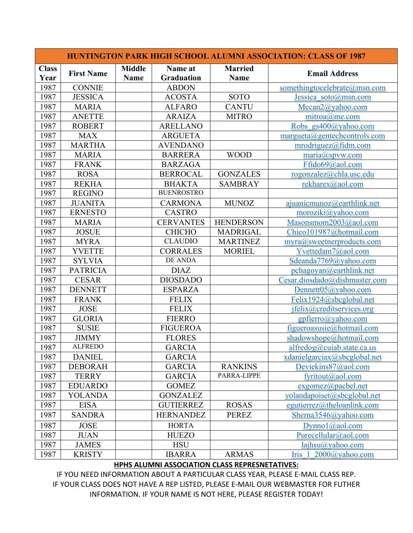|                      |                   |                              |                              |                               | <b>HUNTINGTON PARK HIGH SCHOOL ALUMNI ASSOCIATION: CLASS OF 1987</b> |
|----------------------|-------------------|------------------------------|------------------------------|-------------------------------|----------------------------------------------------------------------|
| <b>Class</b><br>Year | <b>First Name</b> | <b>Middle</b><br><b>Name</b> | Name at<br><b>Graduation</b> | <b>Married</b><br><b>Name</b> | <b>Email Address</b>                                                 |
| 1987                 | <b>CONNIE</b>     |                              | <b>ABDON</b>                 |                               | somethingtocelebrate@msn.com                                         |
| 1987                 | <b>JESSICA</b>    |                              | <b>ACOSTA</b>                | <b>SOTO</b>                   | Jessica soto@msn.com                                                 |
| 1987                 | <b>MARIA</b>      |                              | <b>ALFARO</b>                | <b>CANTU</b>                  | $Mccan2(a)$ yahoo.com                                                |
| 1987                 | <b>ANETTE</b>     |                              | <b>ARAIZA</b>                | <b>MITRO</b>                  | mitroa@me.com                                                        |
| 1987                 | <b>ROBERT</b>     |                              | <b>ARELLANO</b>              |                               | Robs gs400@yahoo.com                                                 |
| 1987                 | <b>MAX</b>        |                              | <b>ARGUETA</b>               |                               | $margueta(\partial g)$ gentech controls.com                          |
| 1987                 | <b>MARTHA</b>     |                              | <b>AVENDANO</b>              |                               | mrodriguez@fidm.com                                                  |
| 1987                 | <b>MARIA</b>      |                              | <b>BARRERA</b>               | <b>WOOD</b>                   | $\overline{\text{maria}(a\text{spvw.com}}$                           |
| 1987                 | <b>FRANK</b>      |                              | <b>BARZAGA</b>               |                               | Ffido69@aol.com                                                      |
| 1987                 | <b>ROSA</b>       |                              | <b>BERROCAL</b>              | <b>GONZALES</b>               | rogonzalez@chla.usc.edu                                              |
| 1987                 | <b>REKHA</b>      |                              | <b>BHAKTA</b>                | <b>SAMBRAY</b>                | rekharex@aol.com                                                     |
| 1987                 | <b>REGINO</b>     |                              | <b>BUENROSTRO</b>            |                               |                                                                      |
| 1987                 | <b>JUANITA</b>    |                              | <b>CARMONA</b>               | <b>MUNOZ</b>                  | ajuanicmunoz $@$ earthlink.net                                       |
| 1987                 | <b>ERNESTO</b>    |                              | <b>CASTRO</b>                |                               | moroziki@yahoo.com                                                   |
| 1987                 | <b>MARIA</b>      |                              | <b>CERVANTES</b>             | <b>HENDERSON</b>              | Masonsmom2003@aol.com                                                |
| 1987                 | <b>JOSUE</b>      |                              | <b>CHICHO</b>                | <b>MADRIGAL</b>               | Chico101987@hotmail.com                                              |
| 1987                 | <b>MYRA</b>       |                              | <b>CLAUDIO</b>               | <b>MARTINEZ</b>               | myra@sweetnerproducts.com                                            |
| 1987                 | <b>YVETTE</b>     |                              | <b>CORRALES</b>              | <b>MORIEL</b>                 | Yvettedam7@aol.com                                                   |
| 1987                 | <b>SYLVIA</b>     |                              | DE ANDA                      |                               | Sdeanda7769@yahoo.com                                                |
| 1987                 | <b>PATRICIA</b>   |                              | <b>DIAZ</b>                  |                               | pchagoyan@earthlink.net                                              |
| 1987                 | <b>CESAR</b>      |                              | <b>DIOSDADO</b>              |                               | Cesar.diosdado@dishmaster.com                                        |
| 1987                 | <b>DENNETT</b>    |                              | <b>ESPARZA</b>               |                               | Dennett05@yahoo.com                                                  |
| 1987                 | <b>FRANK</b>      |                              | <b>FELIX</b>                 |                               | Felix1924@sbcglobal.net                                              |
| 1987                 | <b>JOSE</b>       |                              | <b>FELIX</b>                 |                               | jfelix@creditservices.org                                            |
| 1987                 | <b>GLORIA</b>     |                              | <b>FIERRO</b>                |                               | $gpfierro(a)$ yahoo.com                                              |
| 1987                 | <b>SUSIE</b>      |                              | <b>FIGUEROA</b>              |                               | figueroasusie@hotmail.com                                            |
| 1987                 | <b>JIMMY</b>      |                              | <b>FLORES</b>                |                               | shadowshope@hotmail.com                                              |
| 1987                 | <b>ALFREDO</b>    |                              | <b>GARCIA</b>                |                               | alfredog@cuiab.state.ca.us                                           |
| 1987                 | <b>DANIEL</b>     |                              | <b>GARCIA</b>                |                               | xdanielgarciax@sbcglobal.net                                         |
| 1987                 | <b>DEBORAH</b>    |                              | <b>GARCIA</b>                | <b>RANKINS</b>                | Deviekins87@aol.com                                                  |
| 1987                 | <b>TERRY</b>      |                              | <b>GARCIA</b>                | PARRA-LIPPE                   | fyritout@aol.com                                                     |
| 1987                 | <b>EDUARDO</b>    |                              | <b>GOMEZ</b>                 |                               | $exgomez$ @pacbel.net                                                |
| 1987                 | <b>YOLANDA</b>    |                              | <b>GONZALEZ</b>              |                               | yolandapoiset@sbcglobal.net                                          |
| 1987                 | <b>EISA</b>       |                              | <b>GUTIERREZ</b>             | <b>ROSAS</b>                  | egutierrez@theloanlink.com                                           |
| 1987                 | <b>SANDRA</b>     |                              | <b>HERNANDEZ</b>             | <b>PEREZ</b>                  | Sherna3546@yahoo.com                                                 |
| 1987                 | <b>JOSE</b>       |                              | <b>HORTA</b>                 |                               | Dynnol@aol.com                                                       |
| 1987                 | <b>JUAN</b>       |                              | <b>HUEZO</b>                 |                               | Purecellular@aol.com                                                 |
| 1987                 | <b>JAMES</b>      |                              | <b>HSU</b>                   |                               | $laipsu(a)$ yahoo.com                                                |
| 1987                 | <b>KRISTY</b>     |                              | <b>IBARRA</b>                | <b>ARMAS</b>                  | 2000@yahoo.com<br>Iris 1                                             |

## **HPHS ALUMNI ASSOCIATION CLASS REPRESNETATIVES:**

IF YOU NEED INFORMATION ABOUT A PARTICULAR CLASS YEAR, PLEASE E-MAIL CLASS REP. IF YOUR CLASS DOES NOT HAVE A REP LISTED, PLEASE E-MAIL OUR WEBMASTER FOR FUTHER INFORMATION. IF YOUR NAME IS NOT HERE, PLEASE REGISTER TODAY!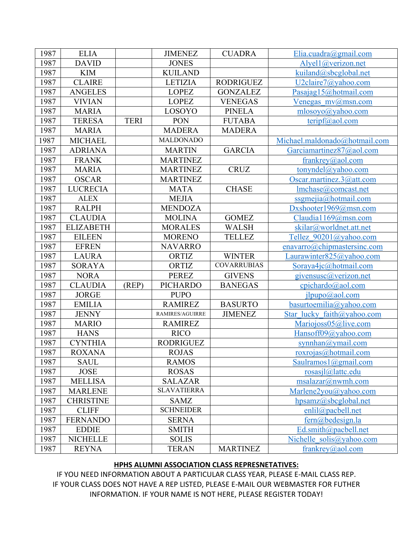| 1987 | <b>ELIA</b>      |             | <b>JIMENEZ</b>     | <b>CUADRA</b>      | Elia.cuadra@gmail.com            |
|------|------------------|-------------|--------------------|--------------------|----------------------------------|
| 1987 | <b>DAVID</b>     |             | <b>JONES</b>       |                    | Alyel1@verizon.net               |
| 1987 | <b>KIM</b>       |             | <b>KUILAND</b>     |                    | kuiland@sbcglobal.net            |
| 1987 | <b>CLAIRE</b>    |             | <b>LETIZIA</b>     | <b>RODRIGUEZ</b>   | $U2$ claire $7$ @yahoo.com       |
| 1987 | <b>ANGELES</b>   |             | <b>LOPEZ</b>       | <b>GONZALEZ</b>    | Pasajag15@hotmail.com            |
| 1987 | <b>VIVIAN</b>    |             | <b>LOPEZ</b>       | <b>VENEGAS</b>     | Venegas $mv(a)$ msn.com          |
| 1987 | <b>MARIA</b>     |             | LOSOYO             | <b>PINELA</b>      | mlosoyo@yahoo.com                |
| 1987 | <b>TERESA</b>    | <b>TERI</b> | PON                | <b>FUTABA</b>      | $\text{teripf}(\hat{a})$ aol.com |
| 1987 | <b>MARIA</b>     |             | <b>MADERA</b>      | <b>MADERA</b>      |                                  |
| 1987 | <b>MICHAEL</b>   |             | <b>MALDONADO</b>   |                    | Michael.maldonado@hotmail.com    |
| 1987 | <b>ADRIANA</b>   |             | <b>MARTIN</b>      | <b>GARCIA</b>      | Garciamartinez87@aol.com         |
| 1987 | <b>FRANK</b>     |             | <b>MARTINEZ</b>    |                    | frankrey@aol.com                 |
| 1987 | <b>MARIA</b>     |             | <b>MARTINEZ</b>    | <b>CRUZ</b>        | tonyndel@yahoo.com               |
| 1987 | <b>OSCAR</b>     |             | <b>MARTINEZ</b>    |                    | Oscar.martinez.3@att.com         |
| 1987 | <b>LUCRECIA</b>  |             | <b>MATA</b>        | <b>CHASE</b>       | lmchase@comcast.net              |
| 1987 | <b>ALEX</b>      |             | <b>MEJIA</b>       |                    | $ssame$ ija@hotmail.com          |
| 1987 | <b>RALPH</b>     |             | <b>MENDOZA</b>     |                    | Dxshooter1969@msn.com            |
| 1987 | <b>CLAUDIA</b>   |             | <b>MOLINA</b>      | <b>GOMEZ</b>       | Claudia1169@msn.com              |
| 1987 | <b>ELIZABETH</b> |             | <b>MORALES</b>     | <b>WALSH</b>       | skilar@worldnet.att.net          |
| 1987 | <b>EILEEN</b>    |             | <b>MORENO</b>      | <b>TELLEZ</b>      | Tellez 90201@yahoo.com           |
| 1987 | <b>EFREN</b>     |             | <b>NAVARRO</b>     |                    | enavarro@chipmastersinc.com      |
| 1987 | <b>LAURA</b>     |             | ORTIZ              | <b>WINTER</b>      | Laurawinter $825$ @yahoo.com     |
| 1987 | <b>SORAYA</b>    |             | ORTIZ              | <b>COVARRUBIAS</b> | Soraya4ic@hotmail.com            |
| 1987 | <b>NORA</b>      |             | <b>PEREZ</b>       | <b>GIVENS</b>      | givensusc@verizon.net            |
| 1987 | <b>CLAUDIA</b>   | (REP)       | <b>PICHARDO</b>    | <b>BANEGAS</b>     | $cpichardo(a)$ aol.com           |
| 1987 | <b>JORGE</b>     |             | <b>PUPO</b>        |                    | ilpupo(a)aol.com                 |
| 1987 | <b>EMILIA</b>    |             | <b>RAMIREZ</b>     | <b>BASURTO</b>     | $basurtoemilia(\omega$ yahoo.com |
| 1987 | <b>JENNY</b>     |             | RAMIRES/AGUIRRE    | <b>JIMENEZ</b>     | Star lucky faith@yahoo.com       |
| 1987 | <b>MARIO</b>     |             | <b>RAMIREZ</b>     |                    | Mariojoss05@live.com             |
| 1987 | <b>HANS</b>      |             | <b>RICO</b>        |                    | Hansoff09@yahoo.com              |
| 1987 | <b>CYNTHIA</b>   |             | <b>RODRIGUEZ</b>   |                    | synnhan@ymail.com                |
| 1987 | <b>ROXANA</b>    |             | <b>ROJAS</b>       |                    | roxrojas(a)hotmail.com           |
| 1987 | <b>SAUL</b>      |             | <b>RAMOS</b>       |                    | Saulramos $1$ @gmail.com         |
| 1987 | <b>JOSE</b>      |             | <b>ROSAS</b>       |                    | $rosasil@$ lattc.edu             |
| 1987 | <b>MELLISA</b>   |             | <b>SALAZAR</b>     |                    | msalazar@numh.com                |
| 1987 | <b>MARLENE</b>   |             | <b>SLAVATIERRA</b> |                    | Marlene2you@yahoo.com            |
| 1987 | <b>CHRISTINE</b> |             | <b>SAMZ</b>        |                    | hpsamz@sbcglobal.net             |
| 1987 | <b>CLIFF</b>     |             | <b>SCHNEIDER</b>   |                    | enlil@pacbell.net                |
| 1987 | <b>FERNANDO</b>  |             | <b>SERNA</b>       |                    | $fern@bedesign.$ la              |
| 1987 | <b>EDDIE</b>     |             | <b>SMITH</b>       |                    | Ed.smith@pacbell.net             |
| 1987 | <b>NICHELLE</b>  |             | <b>SOLIS</b>       |                    | Nichelle solis@yahoo.com         |
| 1987 | <b>REYNA</b>     |             | <b>TERAN</b>       | <b>MARTINEZ</b>    | frankrey@aol.com                 |

## **HPHS ALUMNI ASSOCIATION CLASS REPRESNETATIVES:**

IF YOU NEED INFORMATION ABOUT A PARTICULAR CLASS YEAR, PLEASE E-MAIL CLASS REP. IF YOUR CLASS DOES NOT HAVE A REP LISTED, PLEASE E-MAIL OUR WEBMASTER FOR FUTHER INFORMATION. IF YOUR NAME IS NOT HERE, PLEASE REGISTER TODAY!